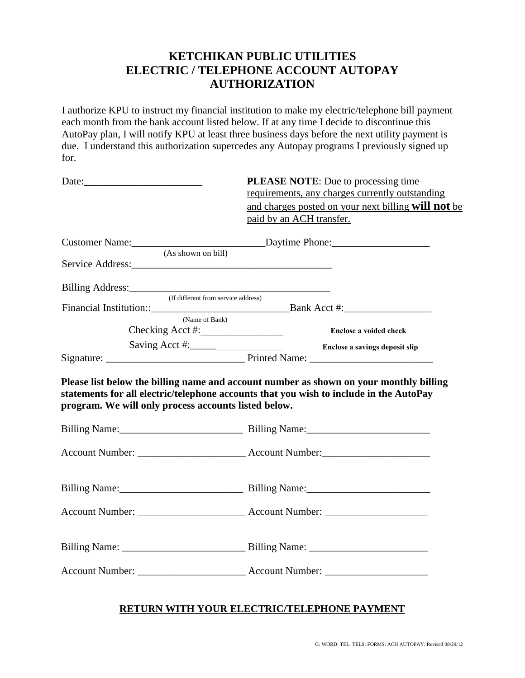# **KETCHIKAN PUBLIC UTILITIES ELECTRIC / TELEPHONE ACCOUNT AUTOPAY AUTHORIZATION**

I authorize KPU to instruct my financial institution to make my electric/telephone bill payment each month from the bank account listed below. If at any time I decide to discontinue this AutoPay plan, I will notify KPU at least three business days before the next utility payment is due. I understand this authorization supercedes any Autopay programs I previously signed up for.

|                                                      | <b>PLEASE NOTE:</b> Due to processing time<br>requirements, any charges currently outstanding<br>and charges posted on your next billing will not be<br>paid by an ACH transfer. |
|------------------------------------------------------|----------------------------------------------------------------------------------------------------------------------------------------------------------------------------------|
| (As shown on bill)                                   |                                                                                                                                                                                  |
|                                                      |                                                                                                                                                                                  |
| Billing Address: (If different from service address) |                                                                                                                                                                                  |
|                                                      |                                                                                                                                                                                  |
| (Name of Bank)                                       | Enclose a voided check                                                                                                                                                           |
|                                                      |                                                                                                                                                                                  |
| program. We will only process accounts listed below. | statements for all electric/telephone accounts that you wish to include in the AutoPay                                                                                           |
|                                                      |                                                                                                                                                                                  |
|                                                      |                                                                                                                                                                                  |
|                                                      |                                                                                                                                                                                  |
|                                                      |                                                                                                                                                                                  |
|                                                      |                                                                                                                                                                                  |
|                                                      |                                                                                                                                                                                  |

#### **RETURN WITH YOUR ELECTRIC/TELEPHONE PAYMENT**